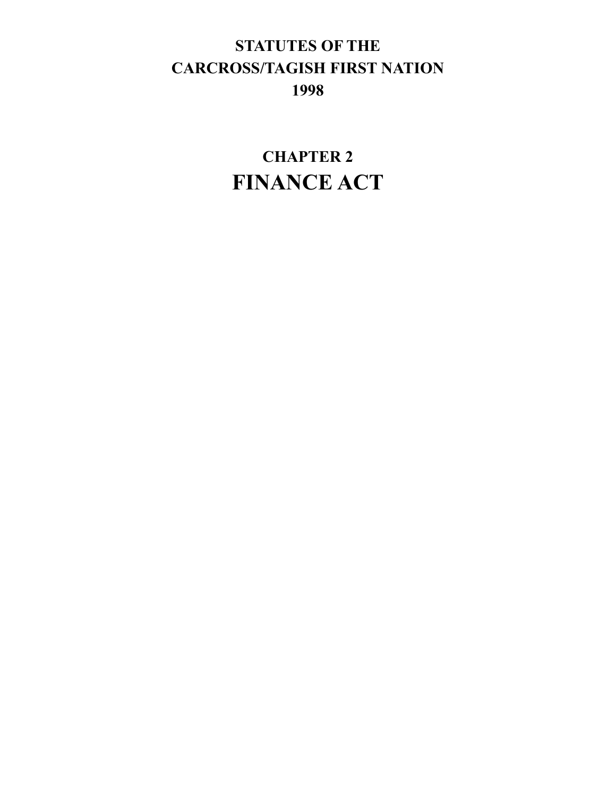# **STATUTES OF THE CARCROSS/TAGISH FIRST NATION 1998**

**CHAPTER 2 FINANCE ACT**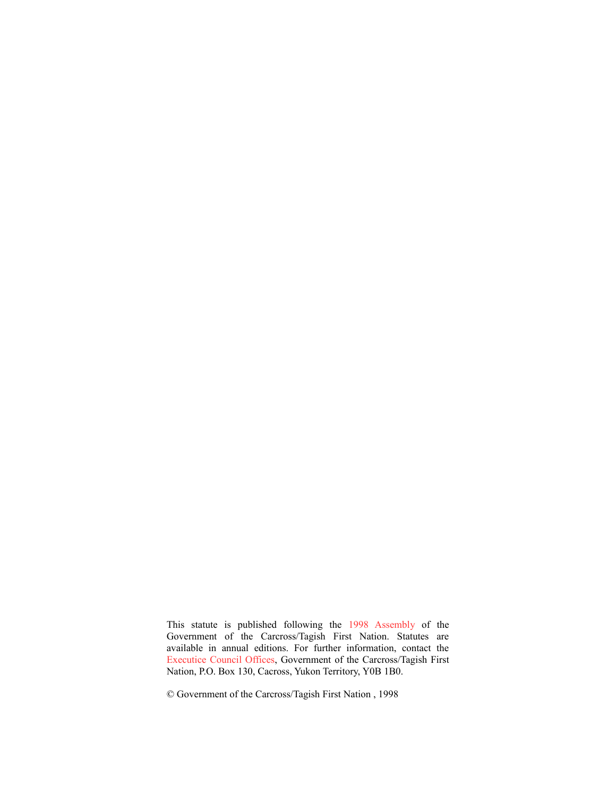This statute is published following the 1998 Assembly of the Government of the Carcross/Tagish First Nation. Statutes are available in annual editions. For further information, contact the Executice Council Offices, Government of the Carcross/Tagish First Nation, P.O. Box 130, Cacross, Yukon Territory, Y0B 1B0.

© Government of the Carcross/Tagish First Nation , 1998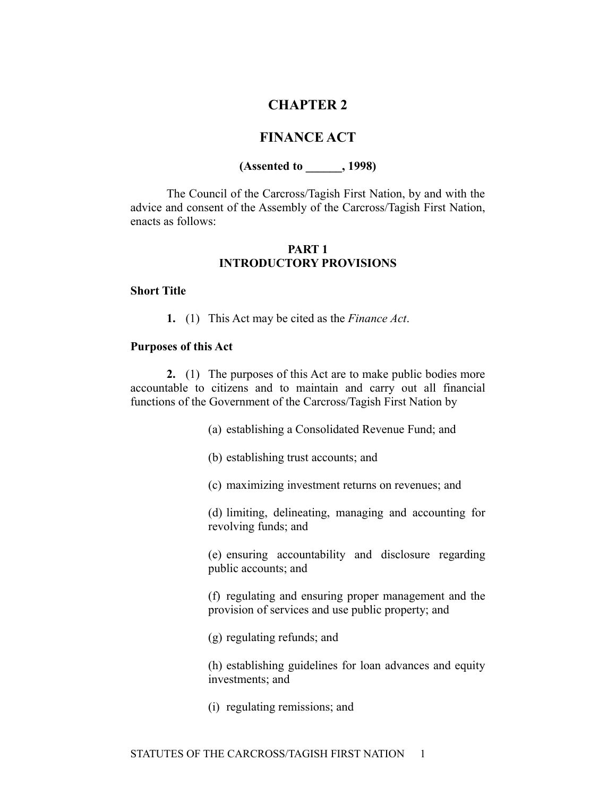## **CHAPTER 2**

## **FINANCE ACT**

## **(Assented to \_\_\_\_\_\_, 1998)**

The Council of the Carcross/Tagish First Nation, by and with the advice and consent of the Assembly of the Carcross/Tagish First Nation, enacts as follows:

## **PART 1 INTRODUCTORY PROVISIONS**

#### **Short Title**

**1.** (1) This Act may be cited as the *Finance Act*.

#### **Purposes of this Act**

**2.** (1) The purposes of this Act are to make public bodies more accountable to citizens and to maintain and carry out all financial functions of the Government of the Carcross/Tagish First Nation by

(a) establishing a Consolidated Revenue Fund; and

(b) establishing trust accounts; and

(c) maximizing investment returns on revenues; and

(d) limiting, delineating, managing and accounting for revolving funds; and

(e) ensuring accountability and disclosure regarding public accounts; and

(f) regulating and ensuring proper management and the provision of services and use public property; and

(g) regulating refunds; and

(h) establishing guidelines for loan advances and equity investments; and

(i) regulating remissions; and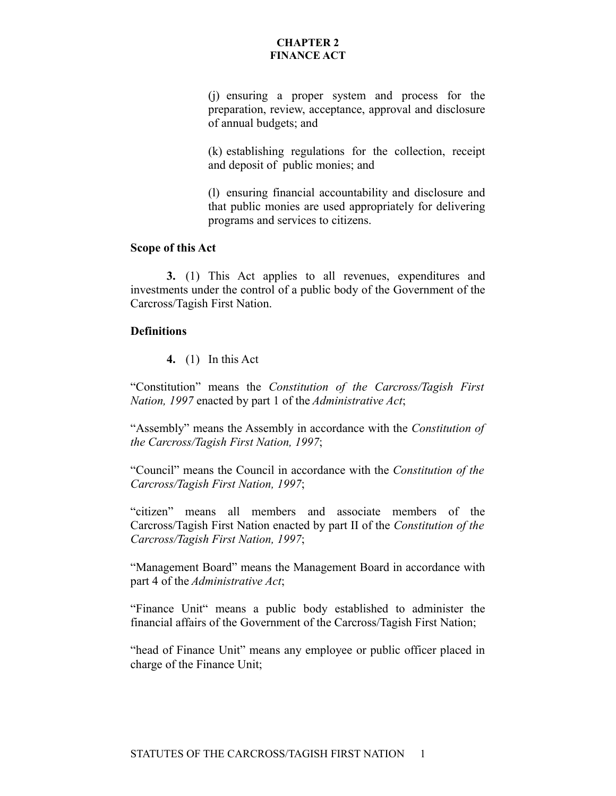(j) ensuring a proper system and process for the preparation, review, acceptance, approval and disclosure of annual budgets; and

(k) establishing regulations for the collection, receipt and deposit of public monies; and

(l) ensuring financial accountability and disclosure and that public monies are used appropriately for delivering programs and services to citizens.

#### **Scope of this Act**

**3.** (1) This Act applies to all revenues, expenditures and investments under the control of a public body of the Government of the Carcross/Tagish First Nation.

#### **Definitions**

**4.** (1) In this Act

"Constitution" means the *Constitution of the Carcross/Tagish First Nation, 1997* enacted by part 1 of the *Administrative Act*;

"Assembly" means the Assembly in accordance with the *Constitution of the Carcross/Tagish First Nation, 1997*;

"Council" means the Council in accordance with the *Constitution of the Carcross/Tagish First Nation, 1997*;

"citizen" means all members and associate members of the Carcross/Tagish First Nation enacted by part II of the *Constitution of the Carcross/Tagish First Nation, 1997*;

"Management Board" means the Management Board in accordance with part 4 of the *Administrative Act*;

"Finance Unit" means a public body established to administer the financial affairs of the Government of the Carcross/Tagish First Nation;

"head of Finance Unit" means any employee or public officer placed in charge of the Finance Unit;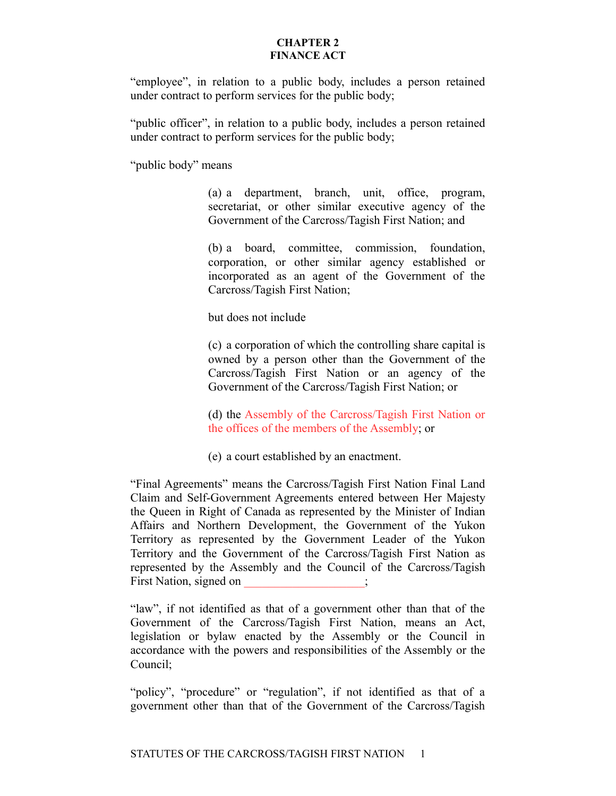"employee", in relation to a public body, includes a person retained under contract to perform services for the public body;

"public officer", in relation to a public body, includes a person retained under contract to perform services for the public body;

"public body" means

(a) a department, branch, unit, office, program, secretariat, or other similar executive agency of the Government of the Carcross/Tagish First Nation; and

(b) a board, committee, commission, foundation, corporation, or other similar agency established or incorporated as an agent of the Government of the Carcross/Tagish First Nation;

but does not include

(c) a corporation of which the controlling share capital is owned by a person other than the Government of the Carcross/Tagish First Nation or an agency of the Government of the Carcross/Tagish First Nation; or

(d) the Assembly of the Carcross/Tagish First Nation or the offices of the members of the Assembly; or

(e) a court established by an enactment.

"Final Agreements" means the Carcross/Tagish First Nation Final Land Claim and Self-Government Agreements entered between Her Majesty the Queen in Right of Canada as represented by the Minister of Indian Affairs and Northern Development, the Government of the Yukon Territory as represented by the Government Leader of the Yukon Territory and the Government of the Carcross/Tagish First Nation as represented by the Assembly and the Council of the Carcross/Tagish First Nation, signed on

"law", if not identified as that of a government other than that of the Government of the Carcross/Tagish First Nation, means an Act, legislation or bylaw enacted by the Assembly or the Council in accordance with the powers and responsibilities of the Assembly or the Council;

"policy", "procedure" or "regulation", if not identified as that of a government other than that of the Government of the Carcross/Tagish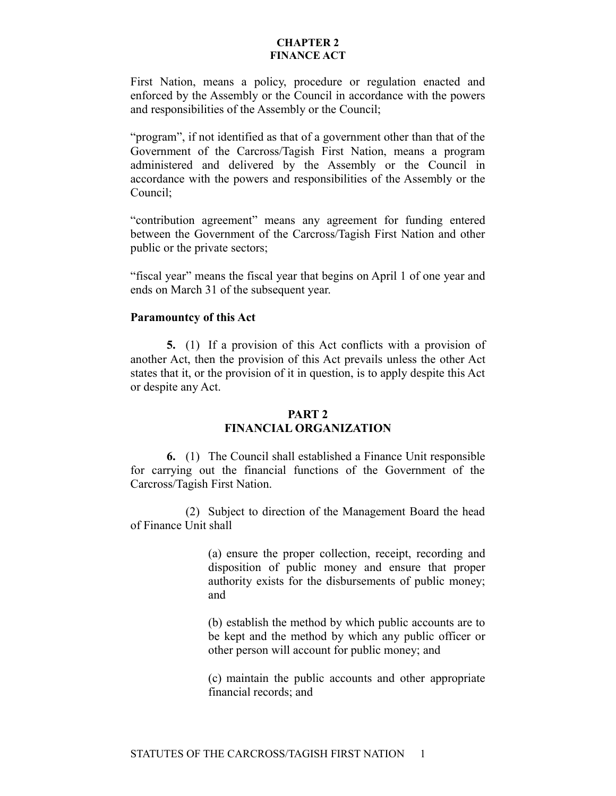First Nation, means a policy, procedure or regulation enacted and enforced by the Assembly or the Council in accordance with the powers and responsibilities of the Assembly or the Council;

"program", if not identified as that of a government other than that of the Government of the Carcross/Tagish First Nation, means a program administered and delivered by the Assembly or the Council in accordance with the powers and responsibilities of the Assembly or the Council;

"contribution agreement" means any agreement for funding entered between the Government of the Carcross/Tagish First Nation and other public or the private sectors;

"fiscal year" means the fiscal year that begins on April 1 of one year and ends on March 31 of the subsequent year.

#### **Paramountcy of this Act**

**5.** (1) If a provision of this Act conflicts with a provision of another Act, then the provision of this Act prevails unless the other Act states that it, or the provision of it in question, is to apply despite this Act or despite any Act.

## **PART 2 FINANCIAL ORGANIZATION**

**6.** (1) The Council shall established a Finance Unit responsible for carrying out the financial functions of the Government of the Carcross/Tagish First Nation.

(2) Subject to direction of the Management Board the head of Finance Unit shall

> (a) ensure the proper collection, receipt, recording and disposition of public money and ensure that proper authority exists for the disbursements of public money; and

> (b) establish the method by which public accounts are to be kept and the method by which any public officer or other person will account for public money; and

> (c) maintain the public accounts and other appropriate financial records; and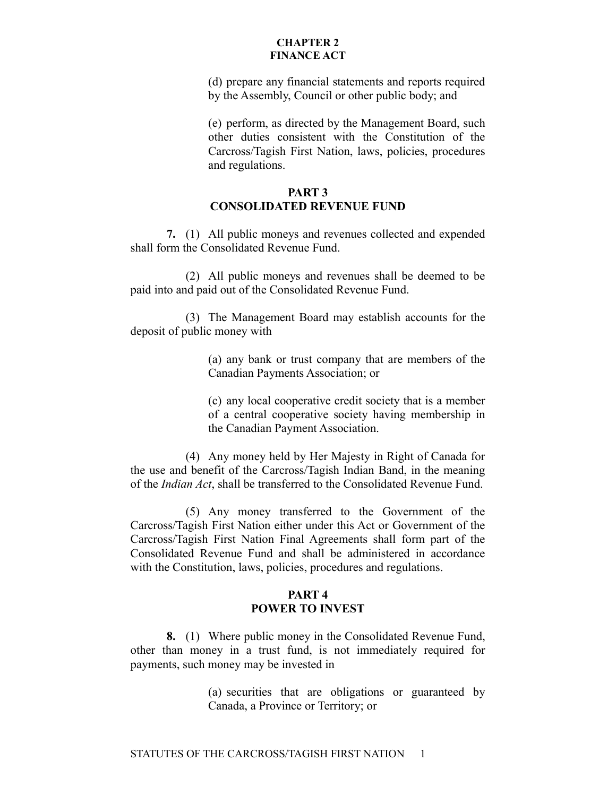(d) prepare any financial statements and reports required by the Assembly, Council or other public body; and

(e) perform, as directed by the Management Board, such other duties consistent with the Constitution of the Carcross/Tagish First Nation, laws, policies, procedures and regulations.

## **PART 3 CONSOLIDATED REVENUE FUND**

**7.** (1) All public moneys and revenues collected and expended shall form the Consolidated Revenue Fund.

(2) All public moneys and revenues shall be deemed to be paid into and paid out of the Consolidated Revenue Fund.

(3) The Management Board may establish accounts for the deposit of public money with

> (a) any bank or trust company that are members of the Canadian Payments Association; or

> (c) any local cooperative credit society that is a member of a central cooperative society having membership in the Canadian Payment Association.

(4) Any money held by Her Majesty in Right of Canada for the use and benefit of the Carcross/Tagish Indian Band, in the meaning of the *Indian Act*, shall be transferred to the Consolidated Revenue Fund.

(5) Any money transferred to the Government of the Carcross/Tagish First Nation either under this Act or Government of the Carcross/Tagish First Nation Final Agreements shall form part of the Consolidated Revenue Fund and shall be administered in accordance with the Constitution, laws, policies, procedures and regulations.

## **PART 4 POWER TO INVEST**

**8.** (1) Where public money in the Consolidated Revenue Fund, other than money in a trust fund, is not immediately required for payments, such money may be invested in

> (a) securities that are obligations or guaranteed by Canada, a Province or Territory; or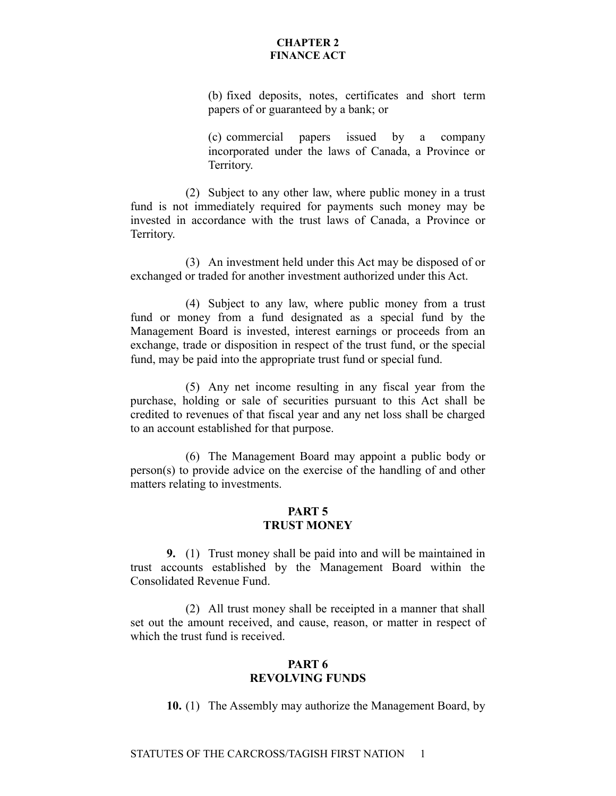(b) fixed deposits, notes, certificates and short term papers of or guaranteed by a bank; or

(c) commercial papers issued by a company incorporated under the laws of Canada, a Province or Territory.

(2) Subject to any other law, where public money in a trust fund is not immediately required for payments such money may be invested in accordance with the trust laws of Canada, a Province or Territory.

(3) An investment held under this Act may be disposed of or exchanged or traded for another investment authorized under this Act.

(4) Subject to any law, where public money from a trust fund or money from a fund designated as a special fund by the Management Board is invested, interest earnings or proceeds from an exchange, trade or disposition in respect of the trust fund, or the special fund, may be paid into the appropriate trust fund or special fund.

(5) Any net income resulting in any fiscal year from the purchase, holding or sale of securities pursuant to this Act shall be credited to revenues of that fiscal year and any net loss shall be charged to an account established for that purpose.

(6) The Management Board may appoint a public body or person(s) to provide advice on the exercise of the handling of and other matters relating to investments.

#### **PART 5 TRUST MONEY**

**9.** (1) Trust money shall be paid into and will be maintained in trust accounts established by the Management Board within the Consolidated Revenue Fund.

(2) All trust money shall be receipted in a manner that shall set out the amount received, and cause, reason, or matter in respect of which the trust fund is received.

## **PART 6 REVOLVING FUNDS**

**10.** (1) The Assembly may authorize the Management Board, by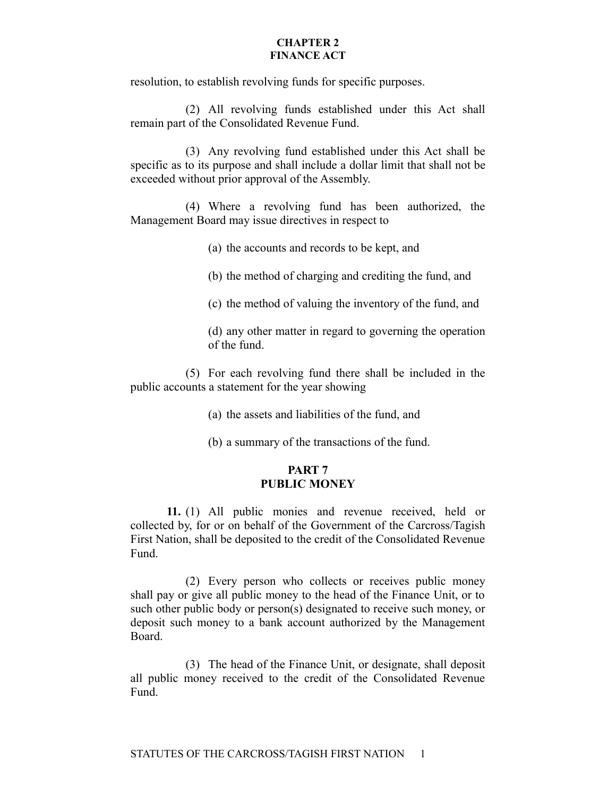resolution, to establish revolving funds for specific purposes.

(2) All revolving funds established under this Act shall remain part of the Consolidated Revenue Fund.

(3) Any revolving fund established under this Act shall be specific as to its purpose and shall include a dollar limit that shall not be exceeded without prior approval of the Assembly.

(4) Where a revolving fund has been authorized, the Management Board may issue directives in respect to

(a) the accounts and records to be kept, and

(b) the method of charging and crediting the fund, and

(c) the method of valuing the inventory of the fund, and

(d) any other matter in regard to governing the operation of the fund.

(5) For each revolving fund there shall be included in the public accounts a statement for the year showing

(a) the assets and liabilities of the fund, and

(b) a summary of the transactions of the fund.

## **PART 7 PUBLIC MONEY**

**11.** (1) All public monies and revenue received, held or collected by, for or on behalf of the Government of the Carcross/Tagish First Nation, shall be deposited to the credit of the Consolidated Revenue Fund.

(2) Every person who collects or receives public money shall pay or give all public money to the head of the Finance Unit, or to such other public body or person(s) designated to receive such money, or deposit such money to a bank account authorized by the Management Board.

(3) The head of the Finance Unit, or designate, shall deposit all public money received to the credit of the Consolidated Revenue Fund.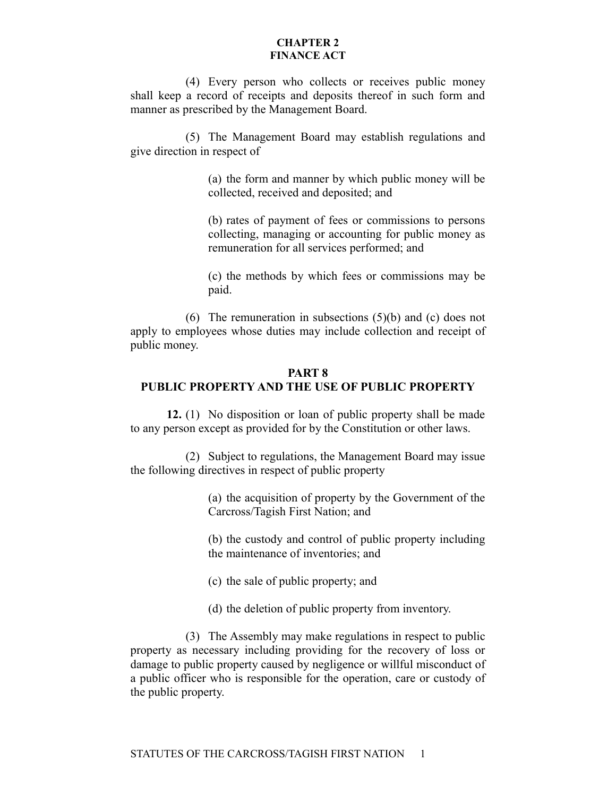(4) Every person who collects or receives public money shall keep a record of receipts and deposits thereof in such form and manner as prescribed by the Management Board.

(5) The Management Board may establish regulations and give direction in respect of

> (a) the form and manner by which public money will be collected, received and deposited; and

> (b) rates of payment of fees or commissions to persons collecting, managing or accounting for public money as remuneration for all services performed; and

> (c) the methods by which fees or commissions may be paid.

(6) The remuneration in subsections (5)(b) and (c) does not apply to employees whose duties may include collection and receipt of public money.

## **PART 8 PUBLIC PROPERTY AND THE USE OF PUBLIC PROPERTY**

**12.** (1) No disposition or loan of public property shall be made to any person except as provided for by the Constitution or other laws.

(2) Subject to regulations, the Management Board may issue the following directives in respect of public property

> (a) the acquisition of property by the Government of the Carcross/Tagish First Nation; and

> (b) the custody and control of public property including the maintenance of inventories; and

(c) the sale of public property; and

(d) the deletion of public property from inventory.

(3) The Assembly may make regulations in respect to public property as necessary including providing for the recovery of loss or damage to public property caused by negligence or willful misconduct of a public officer who is responsible for the operation, care or custody of the public property.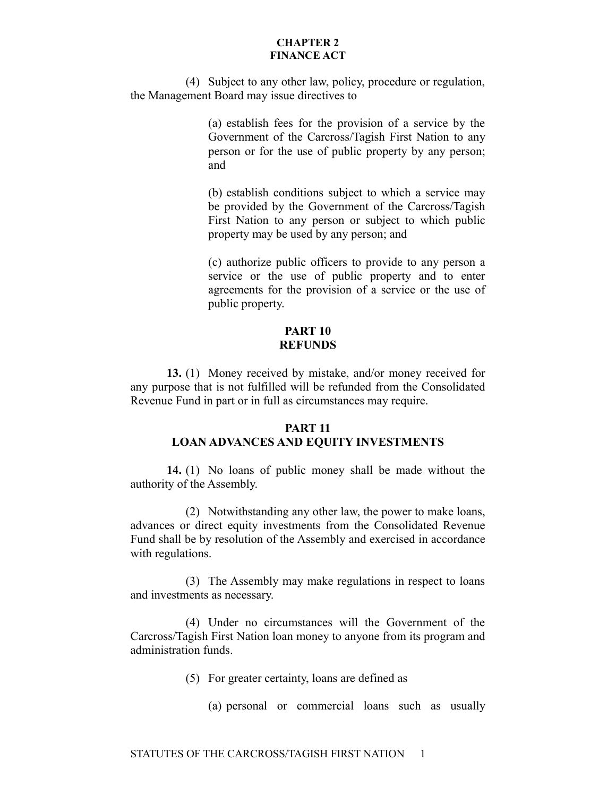(4) Subject to any other law, policy, procedure or regulation, the Management Board may issue directives to

> (a) establish fees for the provision of a service by the Government of the Carcross/Tagish First Nation to any person or for the use of public property by any person; and

> (b) establish conditions subject to which a service may be provided by the Government of the Carcross/Tagish First Nation to any person or subject to which public property may be used by any person; and

> (c) authorize public officers to provide to any person a service or the use of public property and to enter agreements for the provision of a service or the use of public property.

#### **PART 10 REFUNDS**

**13.** (1) Money received by mistake, and/or money received for any purpose that is not fulfilled will be refunded from the Consolidated Revenue Fund in part or in full as circumstances may require.

## **PART 11 LOAN ADVANCES AND EQUITY INVESTMENTS**

**14.** (1) No loans of public money shall be made without the authority of the Assembly.

(2) Notwithstanding any other law, the power to make loans, advances or direct equity investments from the Consolidated Revenue Fund shall be by resolution of the Assembly and exercised in accordance with regulations.

(3) The Assembly may make regulations in respect to loans and investments as necessary.

(4) Under no circumstances will the Government of the Carcross/Tagish First Nation loan money to anyone from its program and administration funds.

(5) For greater certainty, loans are defined as

(a) personal or commercial loans such as usually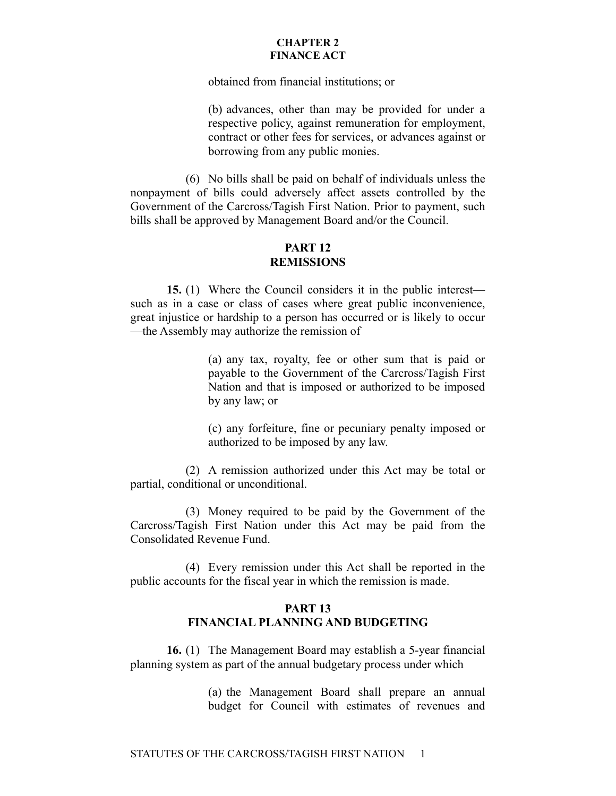obtained from financial institutions; or

(b) advances, other than may be provided for under a respective policy, against remuneration for employment, contract or other fees for services, or advances against or borrowing from any public monies.

(6) No bills shall be paid on behalf of individuals unless the nonpayment of bills could adversely affect assets controlled by the Government of the Carcross/Tagish First Nation. Prior to payment, such bills shall be approved by Management Board and/or the Council.

## **PART 12 REMISSIONS**

**15.** (1) Where the Council considers it in the public interest such as in a case or class of cases where great public inconvenience, great injustice or hardship to a person has occurred or is likely to occur —the Assembly may authorize the remission of

> (a) any tax, royalty, fee or other sum that is paid or payable to the Government of the Carcross/Tagish First Nation and that is imposed or authorized to be imposed by any law; or

> (c) any forfeiture, fine or pecuniary penalty imposed or authorized to be imposed by any law.

(2) A remission authorized under this Act may be total or partial, conditional or unconditional.

(3) Money required to be paid by the Government of the Carcross/Tagish First Nation under this Act may be paid from the Consolidated Revenue Fund.

(4) Every remission under this Act shall be reported in the public accounts for the fiscal year in which the remission is made.

## **PART 13 FINANCIAL PLANNING AND BUDGETING**

**16.** (1) The Management Board may establish a 5-year financial planning system as part of the annual budgetary process under which

> (a) the Management Board shall prepare an annual budget for Council with estimates of revenues and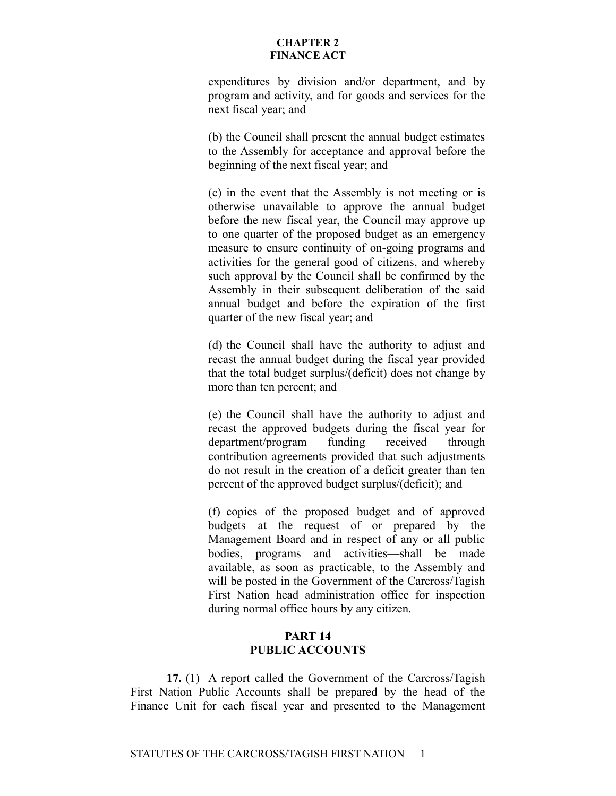expenditures by division and/or department, and by program and activity, and for goods and services for the next fiscal year; and

(b) the Council shall present the annual budget estimates to the Assembly for acceptance and approval before the beginning of the next fiscal year; and

(c) in the event that the Assembly is not meeting or is otherwise unavailable to approve the annual budget before the new fiscal year, the Council may approve up to one quarter of the proposed budget as an emergency measure to ensure continuity of on-going programs and activities for the general good of citizens, and whereby such approval by the Council shall be confirmed by the Assembly in their subsequent deliberation of the said annual budget and before the expiration of the first quarter of the new fiscal year; and

(d) the Council shall have the authority to adjust and recast the annual budget during the fiscal year provided that the total budget surplus/(deficit) does not change by more than ten percent; and

(e) the Council shall have the authority to adjust and recast the approved budgets during the fiscal year for department/program funding received through contribution agreements provided that such adjustments do not result in the creation of a deficit greater than ten percent of the approved budget surplus/(deficit); and

(f) copies of the proposed budget and of approved budgets—at the request of or prepared by the Management Board and in respect of any or all public bodies, programs and activities—shall be made available, as soon as practicable, to the Assembly and will be posted in the Government of the Carcross/Tagish First Nation head administration office for inspection during normal office hours by any citizen.

## **PART 14 PUBLIC ACCOUNTS**

**17.** (1) A report called the Government of the Carcross/Tagish First Nation Public Accounts shall be prepared by the head of the Finance Unit for each fiscal year and presented to the Management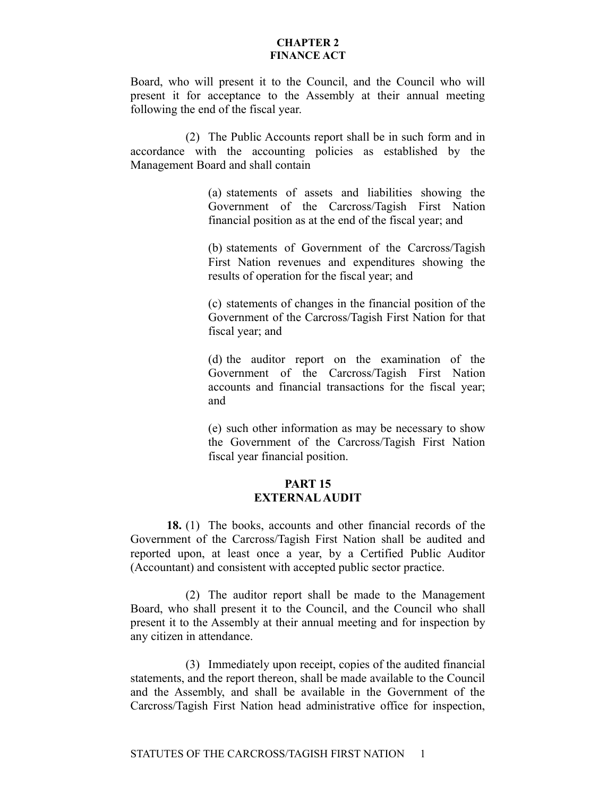Board, who will present it to the Council, and the Council who will present it for acceptance to the Assembly at their annual meeting following the end of the fiscal year.

(2) The Public Accounts report shall be in such form and in accordance with the accounting policies as established by the Management Board and shall contain

> (a) statements of assets and liabilities showing the Government of the Carcross/Tagish First Nation financial position as at the end of the fiscal year; and

> (b) statements of Government of the Carcross/Tagish First Nation revenues and expenditures showing the results of operation for the fiscal year; and

> (c) statements of changes in the financial position of the Government of the Carcross/Tagish First Nation for that fiscal year; and

> (d) the auditor report on the examination of the Government of the Carcross/Tagish First Nation accounts and financial transactions for the fiscal year; and

> (e) such other information as may be necessary to show the Government of the Carcross/Tagish First Nation fiscal year financial position.

## **PART 15 EXTERNAL AUDIT**

**18.** (1) The books, accounts and other financial records of the Government of the Carcross/Tagish First Nation shall be audited and reported upon, at least once a year, by a Certified Public Auditor (Accountant) and consistent with accepted public sector practice.

(2) The auditor report shall be made to the Management Board, who shall present it to the Council, and the Council who shall present it to the Assembly at their annual meeting and for inspection by any citizen in attendance.

(3) Immediately upon receipt, copies of the audited financial statements, and the report thereon, shall be made available to the Council and the Assembly, and shall be available in the Government of the Carcross/Tagish First Nation head administrative office for inspection,